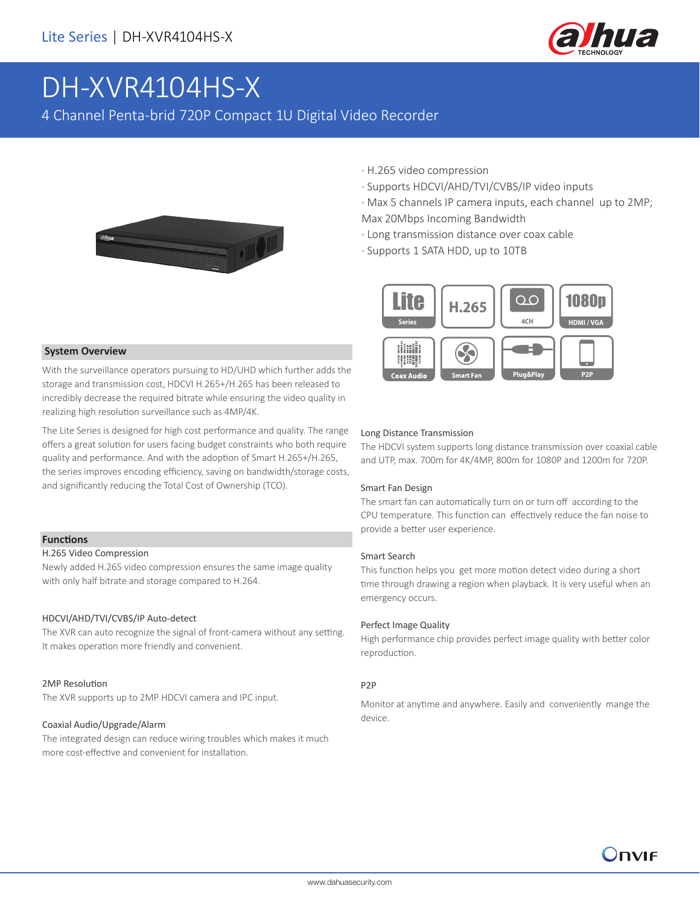

# DH-XVR4104HS-X

4 Channel Penta-brid 720P Compact 1U Digital Video Recorder



- · H.265 video compression
- · Supports HDCVI/AHD/TVI/CVBS/IP video inputs

· Max 5 channels IP camera inputs, each channel up to 2MP; Max 20Mbps Incoming Bandwidth

- · Long transmission distance over coax cable
- · Supports 1 SATA HDD, up to 10TB



#### **System Overview**

With the surveillance operators pursuing to HD/UHD which further adds the storage and transmission cost, HDCVI H.265+/H.265 has been released to incredibly decrease the required bitrate while ensuring the video quality in realizing high resolution surveillance such as 4MP/4K.

The Lite Series is designed for high cost performance and quality. The range offers a great solution for users facing budget constraints who both require quality and performance. And with the adoption of Smart H.265+/H.265, the series improves encoding efficiency, saving on bandwidth/storage costs, and significantly reducing the Total Cost of Ownership (TCO).

#### **Functions**

#### H.265 Video Compression

Newly added H.265 video compression ensures the same image quality with only half bitrate and storage compared to H.264.

#### HDCVI/AHD/TVI/CVBS/IP Auto-detect

The XVR can auto recognize the signal of front-camera without any setting. It makes operation more friendly and convenient.

#### 2MP Resolution

The XVR supports up to 2MP HDCVI camera and IPC input.

#### Coaxial Audio/Upgrade/Alarm

The integrated design can reduce wiring troubles which makes it much more cost-effective and convenient for installation.

#### Long Distance Transmission

The HDCVI system supports long distance transmission over coaxial cable and UTP, max. 700m for 4K/4MP, 800m for 1080P and 1200m for 720P.

#### Smart Fan Design

The smart fan can automatically turn on or turn off according to the CPU temperature. This function can effectively reduce the fan noise to provide a better user experience.

#### Smart Search

This function helps you get more motion detect video during a short time through drawing a region when playback. It is very useful when an emergency occurs.

#### Perfect Image Quality

High performance chip provides perfect image quality with better color reproduction.

#### P2P

Monitor at anytime and anywhere. Easily and conveniently mange the device.

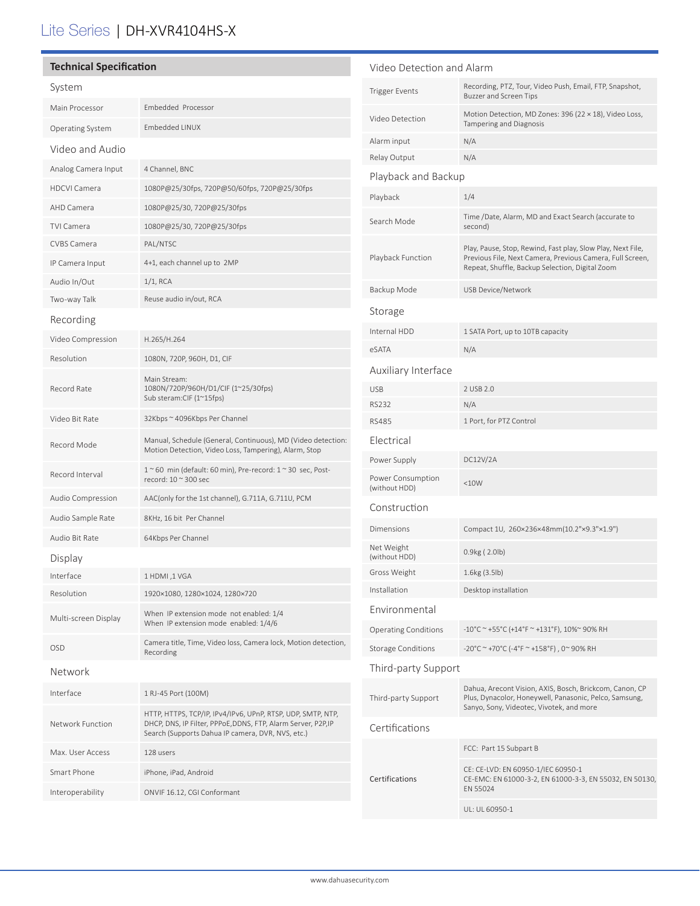## Lite Series | DH-XVR4104HS-X

| <b>Technical Specification</b> |                                                                                                                                                                                   | Video Detection and Alarm                                |                                                                                                                                                                             |
|--------------------------------|-----------------------------------------------------------------------------------------------------------------------------------------------------------------------------------|----------------------------------------------------------|-----------------------------------------------------------------------------------------------------------------------------------------------------------------------------|
| System                         |                                                                                                                                                                                   | <b>Trigger Events</b>                                    | Recording, PTZ, Tour, Video Push, Email, FTP, Snapshot,<br>Buzzer and Screen Tips                                                                                           |
| Main Processor                 | Embedded Processor                                                                                                                                                                | Video Detection                                          | Motion Detection, MD Zones: 396 (22 × 18), Video Loss,                                                                                                                      |
| Operating System               | Embedded LINUX                                                                                                                                                                    |                                                          | <b>Tampering and Diagnosis</b>                                                                                                                                              |
| Video and Audio                |                                                                                                                                                                                   | Alarm input                                              | N/A                                                                                                                                                                         |
| Analog Camera Input            | 4 Channel, BNC                                                                                                                                                                    | Relay Output                                             | N/A                                                                                                                                                                         |
| <b>HDCVI Camera</b>            | 1080P@25/30fps, 720P@50/60fps, 720P@25/30fps                                                                                                                                      | Playback and Backup                                      |                                                                                                                                                                             |
| AHD Camera                     | 1080P@25/30, 720P@25/30fps                                                                                                                                                        | Playback                                                 | 1/4                                                                                                                                                                         |
| <b>TVI Camera</b>              | 1080P@25/30, 720P@25/30fps                                                                                                                                                        | Search Mode                                              | Time /Date, Alarm, MD and Exact Search (accurate to<br>second)                                                                                                              |
| CVBS Camera                    | PAL/NTSC                                                                                                                                                                          | Playback Function                                        | Play, Pause, Stop, Rewind, Fast play, Slow Play, Next File,<br>Previous File, Next Camera, Previous Camera, Full Screen,<br>Repeat, Shuffle, Backup Selection, Digital Zoom |
| IP Camera Input                | 4+1, each channel up to 2MP                                                                                                                                                       |                                                          |                                                                                                                                                                             |
| Audio In/Out                   | $1/1$ , RCA                                                                                                                                                                       | Backup Mode                                              | USB Device/Network                                                                                                                                                          |
| Two-way Talk                   | Reuse audio in/out, RCA                                                                                                                                                           |                                                          |                                                                                                                                                                             |
| Recording                      |                                                                                                                                                                                   | Storage                                                  |                                                                                                                                                                             |
| Video Compression              | H.265/H.264                                                                                                                                                                       | Internal HDD                                             | 1 SATA Port, up to 10TB capacity                                                                                                                                            |
| Resolution                     | 1080N, 720P, 960H, D1, CIF                                                                                                                                                        | eSATA                                                    | N/A                                                                                                                                                                         |
|                                | Main Stream:<br>1080N/720P/960H/D1/CIF (1~25/30fps)<br>Sub steram:CIF (1~15fps)                                                                                                   | Auxiliary Interface                                      |                                                                                                                                                                             |
| Record Rate                    |                                                                                                                                                                                   | <b>USB</b>                                               | 2 USB 2.0                                                                                                                                                                   |
|                                |                                                                                                                                                                                   | <b>RS232</b>                                             | N/A                                                                                                                                                                         |
| Video Bit Rate                 | 32Kbps ~ 4096Kbps Per Channel                                                                                                                                                     | <b>RS485</b>                                             | 1 Port, for PTZ Control                                                                                                                                                     |
| Record Mode                    | Manual, Schedule (General, Continuous), MD (Video detection:<br>Motion Detection, Video Loss, Tampering), Alarm, Stop                                                             | Electrical                                               |                                                                                                                                                                             |
| Record Interval                | $1~$ ~60 min (default: 60 min), Pre-record: $1~$ ~30 sec, Post-                                                                                                                   | Power Supply                                             | DC12V/2A                                                                                                                                                                    |
|                                | record: 10 ~ 300 sec                                                                                                                                                              | Power Consumption<br>(without HDD)                       | <10W                                                                                                                                                                        |
| Audio Compression              | AAC(only for the 1st channel), G.711A, G.711U, PCM                                                                                                                                | Construction                                             |                                                                                                                                                                             |
| Audio Sample Rate              | 8KHz, 16 bit Per Channel                                                                                                                                                          | Dimensions                                               | Compact 1U, 260×236×48mm(10.2"×9.3"×1.9")                                                                                                                                   |
| Audio Bit Rate                 | 64Kbps Per Channel                                                                                                                                                                | Net Weight                                               | 0.9kg (2.0lb)                                                                                                                                                               |
| Display                        |                                                                                                                                                                                   | (without HDD)                                            |                                                                                                                                                                             |
| Interface                      | 1 HDMI, 1 VGA                                                                                                                                                                     | Gross Weight                                             | 1.6kg (3.5lb)                                                                                                                                                               |
| Resolution                     | 1920×1080, 1280×1024, 1280×720                                                                                                                                                    | Installation                                             | Desktop installation                                                                                                                                                        |
| Multi-screen Display           | When IP extension mode not enabled: 1/4<br>When IP extension mode enabled: 1/4/6                                                                                                  | Environmental                                            |                                                                                                                                                                             |
| <b>OSD</b>                     | Camera title, Time, Video loss, Camera lock, Motion detection,                                                                                                                    | <b>Operating Conditions</b><br><b>Storage Conditions</b> | $-10^{\circ}$ C ~ +55°C (+14°F ~ +131°F), 10%~ 90% RH<br>-20°C ~ +70°C (-4°F ~ +158°F), 0~90% RH                                                                            |
|                                | Recording                                                                                                                                                                         |                                                          |                                                                                                                                                                             |
| Network                        |                                                                                                                                                                                   | Third-party Support                                      |                                                                                                                                                                             |
| Interface                      | 1 RJ-45 Port (100M)                                                                                                                                                               | Third-party Support                                      | Dahua, Arecont Vision, AXIS, Bosch, Brickcom, Canon, CP<br>Plus, Dynacolor, Honeywell, Panasonic, Pelco, Samsung,<br>Sanyo, Sony, Videotec, Vivotek, and more               |
| Network Function               | HTTP, HTTPS, TCP/IP, IPv4/IPv6, UPnP, RTSP, UDP, SMTP, NTP,<br>DHCP, DNS, IP Filter, PPPoE, DDNS, FTP, Alarm Server, P2P, IP<br>Search (Supports Dahua IP camera, DVR, NVS, etc.) | Certifications                                           |                                                                                                                                                                             |
| Max. User Access               | 128 users                                                                                                                                                                         |                                                          | FCC: Part 15 Subpart B                                                                                                                                                      |
| Smart Phone                    | iPhone, iPad, Android                                                                                                                                                             | Certifications                                           | CE: CE-LVD: EN 60950-1/IEC 60950-1<br>CE-EMC: EN 61000-3-2, EN 61000-3-3, EN 55032, EN 50130,                                                                               |
| Interoperability               | ONVIF 16.12, CGI Conformant                                                                                                                                                       |                                                          | EN 55024                                                                                                                                                                    |
|                                |                                                                                                                                                                                   |                                                          | UL: UL 60950-1                                                                                                                                                              |